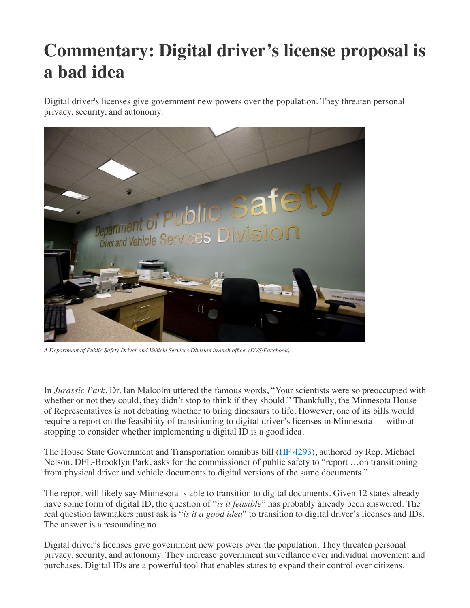## **Commentary: Digital driver's license proposal is a bad idea**

Digital driver's licenses give government new powers over the population. They threaten personal privacy, security, and autonomy.



*A Department of Public Safety Driver and Vehicle Services Division branch office. (DVS/Facebook)*

In *Jurassic Park*, Dr. Ian Malcolm uttered the famous words, "Your scientists were so preoccupied with whether or not they could, they didn't stop to think if they should." Thankfully, the Minnesota House of Representatives is not debating whether to bring dinosaurs to life. However, one of its bills would require a report on the feasibility of transitioning to digital driver's licenses in Minnesota — without stopping to consider whether implementing a digital ID is a good idea.

The House State Government and Transportation omnibus bill ([HF 4293](https://www.revisor.mn.gov/bills/text.php?number=HF4293&version=3&session=ls92&session_year=2022&session_number=0)), authored by Rep. Michael Nelson, DFL-Brooklyn Park, asks for the commissioner of public safety to "report …on transitioning from physical driver and vehicle documents to digital versions of the same documents."

The report will likely say Minnesota is able to transition to digital documents. Given 12 states already have some form of digital ID, the question of "*is it feasible*" has probably already been answered. The real question lawmakers must ask is "*is it a good idea*" to transition to digital driver's licenses and IDs. The answer is a resounding no.

Digital driver's licenses give government new powers over the population. They threaten personal privacy, security, and autonomy. They increase government surveillance over individual movement and purchases. Digital IDs are a powerful tool that enables states to expand their control over citizens.